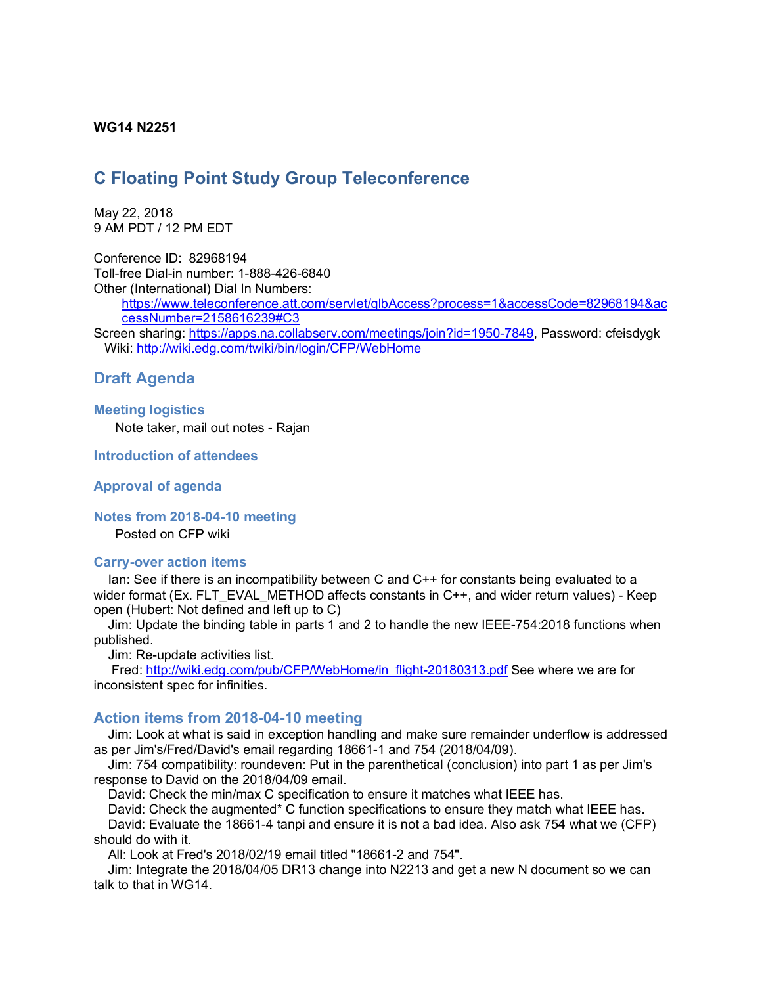### **WG14 N2251**

# **C Floating Point Study Group Teleconference**

May 22, 2018 9 AM PDT / 12 PM EDT

Conference ID: 82968194 Toll-free Dial-in number: 1-888-426-6840 Other (International) Dial In Numbers:

> https://www.teleconference.att.com/servlet/glbAccess?process=1&accessCode=82968194&ac cessNumber=2158616239#C3

Screen sharing: https://apps.na.collabserv.com/meetings/join?id=1950-7849, Password: cfeisdygk Wiki: http://wiki.edg.com/twiki/bin/login/CFP/WebHome

## **Draft Agenda**

### **Meeting logistics** Note taker, mail out notes - Rajan

**Introduction of attendees**

### **Approval of agenda**

**Notes from 2018-04-10 meeting**

Posted on CFP wiki

#### **Carry-over action items**

Ian: See if there is an incompatibility between C and C++ for constants being evaluated to a wider format (Ex. FLT\_EVAL\_METHOD affects constants in C++, and wider return values) - Keep open (Hubert: Not defined and left up to C)

Jim: Update the binding table in parts 1 and 2 to handle the new IEEE-754:2018 functions when published.

Jim: Re-update activities list.

Fred: http://wiki.edg.com/pub/CFP/WebHome/in\_flight-20180313.pdf See where we are for inconsistent spec for infinities.

### **Action items from 2018-04-10 meeting**

Jim: Look at what is said in exception handling and make sure remainder underflow is addressed as per Jim's/Fred/David's email regarding 18661-1 and 754 (2018/04/09).

Jim: 754 compatibility: roundeven: Put in the parenthetical (conclusion) into part 1 as per Jim's response to David on the 2018/04/09 email.

David: Check the min/max C specification to ensure it matches what IEEE has.

David: Check the augmented\* C function specifications to ensure they match what IEEE has.

David: Evaluate the 18661-4 tanpi and ensure it is not a bad idea. Also ask 754 what we (CFP) should do with it.

All: Look at Fred's 2018/02/19 email titled "18661-2 and 754".

Jim: Integrate the 2018/04/05 DR13 change into N2213 and get a new N document so we can talk to that in WG14.